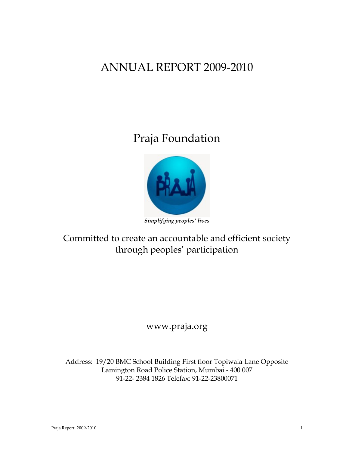## ANNUAL REPORT 2009-2010

# Praja Foundation



#### *Simplifying peoples' lives*

## Committed to create an accountable and efficient society through peoples" participation

### www.praja.org

Address: 19/20 BMC School Building First floor Topiwala Lane Opposite Lamington Road Police Station, Mumbai - 400 007 91-22- 2384 1826 Telefax: 91-22-23800071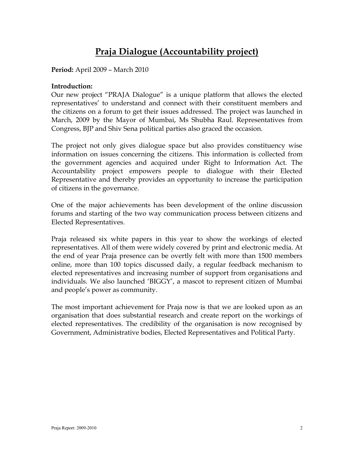## **Praja Dialogue (Accountability project)**

**Period:** April 2009 – March 2010

#### **Introduction:**

Our new project "PRAJA Dialogue" is a unique platform that allows the elected representatives' to understand and connect with their constituent members and the citizens on a forum to get their issues addressed. The project was launched in March, 2009 by the Mayor of Mumbai, Ms Shubha Raul. Representatives from Congress, BJP and Shiv Sena political parties also graced the occasion.

The project not only gives dialogue space but also provides constituency wise information on issues concerning the citizens. This information is collected from the government agencies and acquired under Right to Information Act. The Accountability project empowers people to dialogue with their Elected Representative and thereby provides an opportunity to increase the participation of citizens in the governance.

One of the major achievements has been development of the online discussion forums and starting of the two way communication process between citizens and Elected Representatives.

Praja released six white papers in this year to show the workings of elected representatives. All of them were widely covered by print and electronic media. At the end of year Praja presence can be overtly felt with more than 1500 members online, more than 100 topics discussed daily, a regular feedback mechanism to elected representatives and increasing number of support from organisations and individuals. We also launched "BIGGY", a mascot to represent citizen of Mumbai and people"s power as community.

The most important achievement for Praja now is that we are looked upon as an organisation that does substantial research and create report on the workings of elected representatives. The credibility of the organisation is now recognised by Government, Administrative bodies, Elected Representatives and Political Party.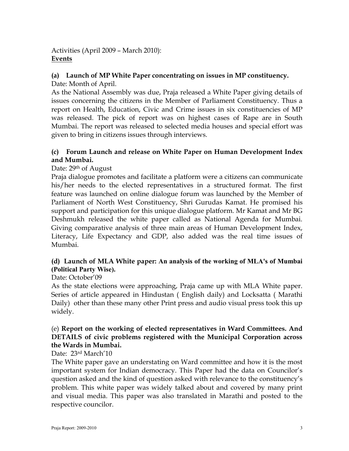Activities (April 2009 – March 2010): **Events**

#### **(a) Launch of MP White Paper concentrating on issues in MP constituency.**

Date: Month of April.

As the National Assembly was due, Praja released a White Paper giving details of issues concerning the citizens in the Member of Parliament Constituency. Thus a report on Health, Education, Civic and Crime issues in six constituencies of MP was released. The pick of report was on highest cases of Rape are in South Mumbai. The report was released to selected media houses and special effort was given to bring in citizens issues through interviews.

#### **(c) Forum Launch and release on White Paper on Human Development Index and Mumbai.**

#### Date: 29<sup>th</sup> of August

Praja dialogue promotes and facilitate a platform were a citizens can communicate his/her needs to the elected representatives in a structured format. The first feature was launched on online dialogue forum was launched by the Member of Parliament of North West Constituency, Shri Gurudas Kamat. He promised his support and participation for this unique dialogue platform. Mr Kamat and Mr BG Deshmukh released the white paper called as National Agenda for Mumbai. Giving comparative analysis of three main areas of Human Development Index, Literacy, Life Expectancy and GDP, also added was the real time issues of Mumbai.

#### **(d) Launch of MLA White paper: [An analysis of the working of MLA's of Mumbai](http://www.praja.org/white_paper/Political_Party_wise_MLA_functions_White_Paper.pdf)  [\(Political Party Wise\).](http://www.praja.org/white_paper/Political_Party_wise_MLA_functions_White_Paper.pdf)**

#### Date: October'09

As the state elections were approaching, Praja came up with MLA White paper. Series of article appeared in Hindustan ( English daily) and Locksatta ( Marathi Daily) other than these many other Print press and audio visual press took this up widely.

#### (e) **[Report on the working of elected representatives in Ward Committees. And](http://www.praja.org/white_paper/MARCH_2010_WARD_COMMITTEE.pdf)  [DETAILS of civic problems registered with the Municipal Corporation across](http://www.praja.org/white_paper/MARCH_2010_WARD_COMMITTEE.pdf)  [the Wards in Mumbai.](http://www.praja.org/white_paper/MARCH_2010_WARD_COMMITTEE.pdf)**

#### Date: 23rd March'10

The White paper gave an understating on Ward committee and how it is the most important system for Indian democracy. This Paper had the data on Councilor's question asked and the kind of question asked with relevance to the constituency"s problem. This white paper was widely talked about and covered by many print and visual media. This paper was also translated in Marathi and posted to the respective councilor.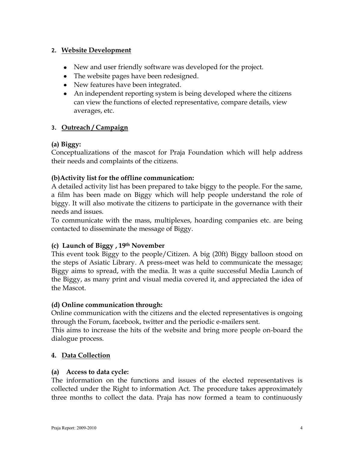#### **2. Website Development**

- New and user friendly software was developed for the project.
- The website pages have been redesigned.
- New features have been integrated.
- An independent reporting system is being developed where the citizens can view the functions of elected representative, compare details, view averages, etc.

#### **3. Outreach / Campaign**

#### **(a) Biggy:**

Conceptualizations of the mascot for Praja Foundation which will help address their needs and complaints of the citizens.

#### **(b)Activity list for the offline communication:**

A detailed activity list has been prepared to take biggy to the people. For the same, a film has been made on Biggy which will help people understand the role of biggy. It will also motivate the citizens to participate in the governance with their needs and issues.

To communicate with the mass, multiplexes, hoarding companies etc. are being contacted to disseminate the message of Biggy.

#### **(c) Launch of Biggy , 19th November**

This event took Biggy to the people/Citizen. A big (20ft) Biggy balloon stood on the steps of Asiatic Library. A press-meet was held to communicate the message; Biggy aims to spread, with the media. It was a quite successful Media Launch of the Biggy, as many print and visual media covered it, and appreciated the idea of the Mascot.

#### **(d) Online communication through:**

Online communication with the citizens and the elected representatives is ongoing through the Forum, facebook, twitter and the periodic e-mailers sent.

This aims to increase the hits of the website and bring more people on-board the dialogue process.

#### **4. Data Collection**

#### **(a) Access to data cycle:**

The information on the functions and issues of the elected representatives is collected under the Right to information Act. The procedure takes approximately three months to collect the data. Praja has now formed a team to continuously